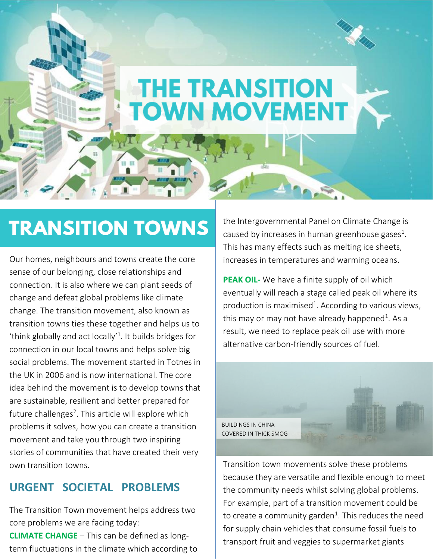# **THE TRANSITION TOWN MOVEMENT**

## **TRANSITION TOWNS**

п

Our homes, neighbours and towns create the core sense of our belonging, close relationships and connection. It is also where we can plant seeds of change and defeat global problems like climate change. The transition movement, also known as transition towns ties these together and helps us to 'think globally and act locally'<sup>1</sup> . It builds bridges for connection in our local towns and helps solve big social problems. The movement started in Totnes in the UK in 2006 and is now international. The core idea behind the movement is to develop towns that are sustainable, resilient and better prepared for future challenges<sup>2</sup>. This article will explore which problems it solves, how you can create a transition movement and take you through two inspiring stories of communities that have created their very own transition towns.

#### **URGENT SOCIETAL PROBLEMS**

The Transition Town movement helps address two core problems we are facing today:

**CLIMATE CHANGE** – This can be defined as longterm fluctuations in the climate which according to the Intergovernmental Panel on Climate Change is caused by increases in human greenhouse gases<sup>1</sup>. This has many effects such as melting ice sheets, increases in temperatures and warming oceans.

**PEAK OIL-** We have a finite supply of oil which eventually will reach a stage called peak oil where its production is maximised<sup>1</sup>. According to various views, this may or may not have already happened<sup>1</sup>. As a result, we need to replace peak oil use with more alternative carbon-friendly sources of fuel.



Transition town movements solve these problems because they are versatile and flexible enough to meet the community needs whilst solving global problems. For example, part of a transition movement could be to create a community garden<sup>1</sup>. This reduces the need for supply chain vehicles that consume fossil fuels to transport fruit and veggies to supermarket giants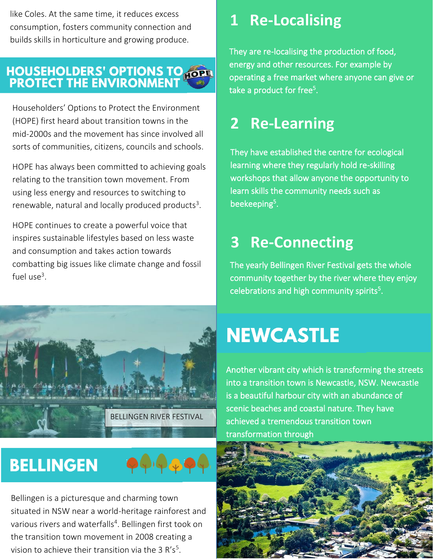like Coles. At the same time, it reduces excess consumption, fosters community connection and builds skills in horticulture and growing produce.

# **HOUSEHOLDERS' OPTIONS TO HOPE**<br>PROTECT THE ENVIRONMENT

Householders' Options to Protect the Environment (HOPE) first heard about transition towns in the mid-2000s and the movement has since involved all sorts of communities, citizens, councils and schools.

HOPE has always been committed to achieving goals relating to the transition town movement. From using less energy and resources to switching to renewable, natural and locally produced products<sup>3</sup>.

HOPE continues to create a powerful voice that inspires sustainable lifestyles based on less waste and consumption and takes action towards combatting big issues like climate change and fossil fuel use<sup>3</sup>.



### **1 Re-Localising**

They are re-localising the production of food, energy and other resources. For example by operating a free market where anyone can give or take a product for free<sup>5</sup>.

#### **2 Re-Learning**

They have established the centre for ecological learning where they regularly hold re-skilling workshops that allow anyone the opportunity to learn skills the community needs such as beekeeping<sup>5</sup>.

#### **3 Re-Connecting**

The yearly Bellingen River Festival gets the whole community together by the river where they enjoy celebrations and high community spirits<sup>5</sup>.

# **NEWCASTLE**

Another vibrant city which is transforming the streets into a transition town is Newcastle, NSW. Newcastle is a beautiful harbour city with an abundance of scenic beaches and coastal nature. They have achieved a tremendous transition town transformation through

#### **BELLINGEN**



Bellingen is a picturesque and charming town situated in NSW near a world-heritage rainforest and various rivers and waterfalls<sup>4</sup>. Bellingen first took on the transition town movement in 2008 creating a vision to achieve their transition via the 3  $R's<sup>5</sup>$ .

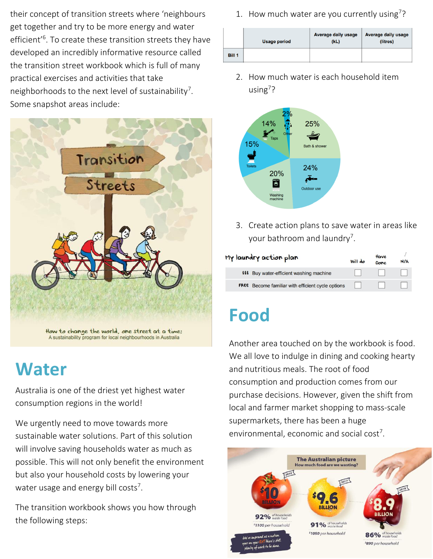their concept of transition streets where 'neighbours get together and try to be more energy and water efficient'<sup>6</sup> . To create these transition streets they have developed an incredibly informative resource called the transition street workbook which is full of many practical exercises and activities that take neighborhoods to the next level of sustainability<sup>7</sup>. Some snapshot areas include:



### **Water**

Australia is one of the driest yet highest water consumption regions in the world!

We urgently need to move towards more sustainable water solutions. Part of this solution will involve saving households water as much as possible. This will not only benefit the environment but also your household costs by lowering your water usage and energy bill costs<sup>7</sup>.

The transition workbook shows you how through the following steps:

1. How much water are you currently using<sup>7</sup>?

|               | <b>Usage period</b> | Average daily usage<br>(kL) | <b>Average daily usage</b><br>(litres) |
|---------------|---------------------|-----------------------------|----------------------------------------|
| <b>Bill 1</b> |                     |                             |                                        |

2. How much water is each household item using<sup>7</sup> ?



3. Create action plans to save water in areas like your bathroom and laundry<sup>7</sup>.

| My laundry action plan | Will do                                                  | Have<br>Done | N/A |  |
|------------------------|----------------------------------------------------------|--------------|-----|--|
|                        | <b>\$\$\$</b> Buy water-efficient washing machine        |              |     |  |
|                        | <b>FREE</b> Become familiar with efficient cycle options |              |     |  |

## **Food**

Another area touched on by the workbook is food. We all love to indulge in dining and cooking hearty and nutritious meals. The root of food consumption and production comes from our purchase decisions. However, given the shift from local and farmer market shopping to mass-scale supermarkets, there has been a huge environmental, economic and social  $cost<sup>7</sup>$ .

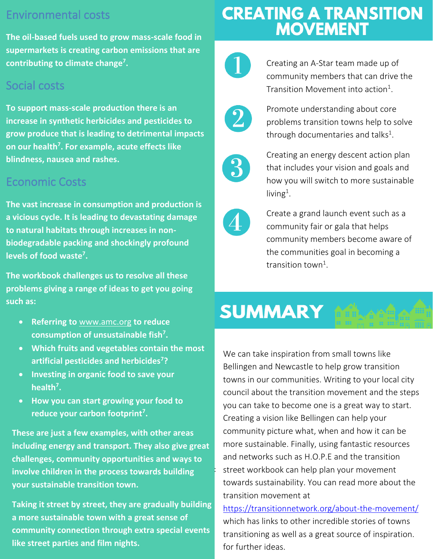#### Environmental costs

a **supermarkets is creating carbon emissions that are The oil-based fuels used to grow mass-scale food in contributing to climate change<sup>7</sup> .** 

#### Social costs

**To support mass-scale production there is an increase in synthetic herbicides and pesticides to grow produce that is leading to detrimental impacts on our health<sup>7</sup> . For example, acute effects like blindness, nausea and rashes.**

#### Economic Costs

**The vast increase in consumption and production is a vicious cycle. It is leading to devastating damage to natural habitats through increases in nonbiodegradable packing and shockingly profound levels of food waste<sup>7</sup> .**

**The workbook challenges us to resolve all these problems giving a range of ideas to get you going such as:**

- **Referring to** [www.amc.org](http://www.amc.org/) **to reduce consumption of unsustainable fish<sup>7</sup> .**
- **Which fruits and vegetables contain the most artificial pesticides and herbicides<sup>7</sup> ?**
- **Investing in organic food to save your health<sup>7</sup> .**
- **How you can start growing your food to reduce your carbon footprint<sup>7</sup> .**

r i **These are just a few examples, with other areas including energy and transport. They also give great challenges, community opportunities and ways to involve children in the process towards building your sustainable transition town.**

**Taking it street by street, they are gradually building a more sustainable town with a great sense of community connection through extra special events like street parties and film nights.**

# **CREATING A TRANSITION<br>MOVEMENT**



Creating an A-Star team made up of community members that can drive the Transition Movement into action<sup>1</sup>.



Promote understanding about core problems transition towns help to solve through documentaries and talks<sup>1</sup>.



Creating an energy descent action plan that includes your vision and goals and how you will switch to more sustainable  $living<sup>1</sup>$ .



Create a grand launch event such as a community fair or gala that helps community members become aware of the communities goal in becoming a transition town<sup>1</sup>.

## **SUMMARY**

 towns in our communities. Writing to your local city We can take inspiration from small towns like Bellingen and Newcastle to help grow transition council about the transition movement and the steps you can take to become one is a great way to start. Creating a vision like Bellingen can help your community picture what, when and how it can be more sustainable. Finally, using fantastic resources and networks such as H.O.P.E and the transition street workbook can help plan your movement towards sustainability. You can read more about the transition movement at

<https://transitionnetwork.org/about-the-movement/> which has links to other incredible stories of towns transitioning as well as a great source of inspiration. for further ideas.